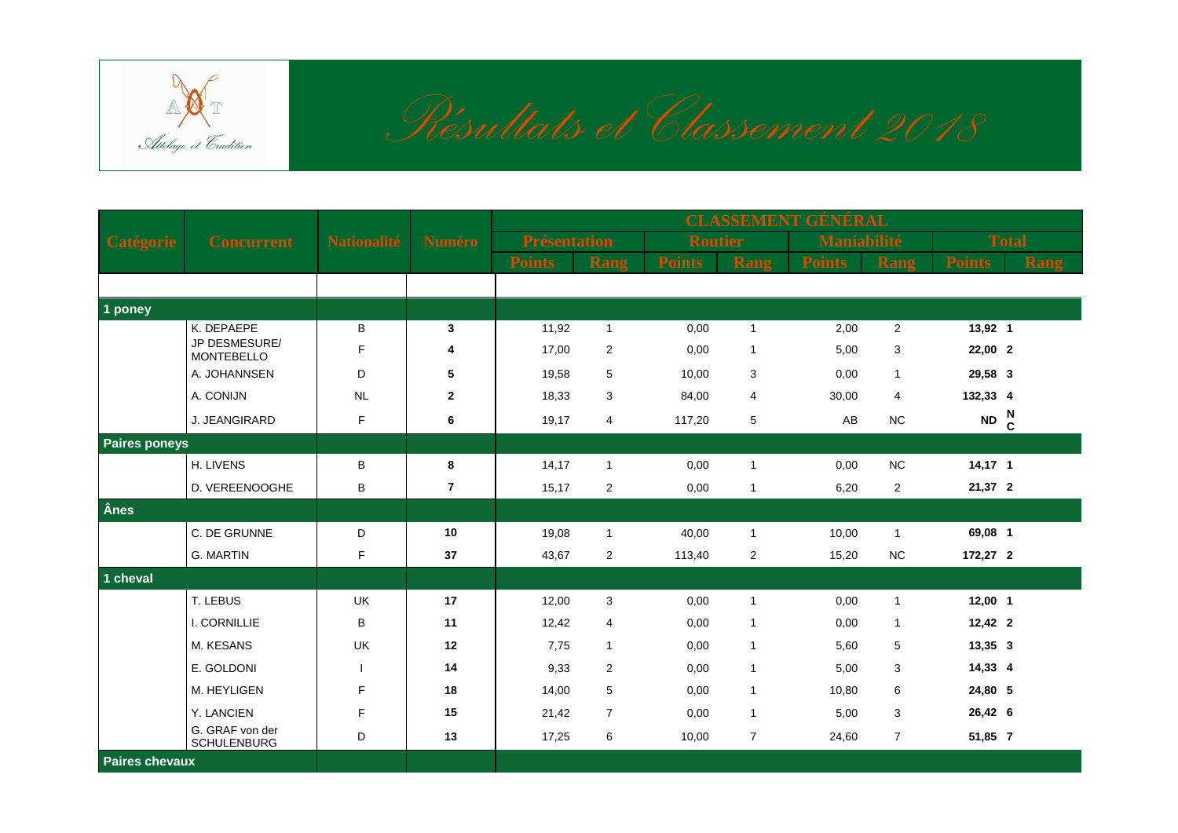

|                       |                                       |                    |                | <b>CLASSEMENT GÉNÉRAL</b> |                |                |                |                    |                |               |                  |
|-----------------------|---------------------------------------|--------------------|----------------|---------------------------|----------------|----------------|----------------|--------------------|----------------|---------------|------------------|
| <b>Catégorie</b>      | <b>Concurrent</b>                     | <b>Nationalité</b> | <b>Numéro</b>  | <b>Présentation</b>       |                | <b>Routier</b> |                | <b>Maniabilité</b> |                |               | <b>Total</b>     |
|                       |                                       |                    |                | <b>Points</b>             | <b>Rang</b>    | <b>Points</b>  | Rang           | <b>Points</b>      | <b>Rang</b>    | <b>Points</b> | <b>Rang</b>      |
|                       |                                       |                    |                |                           |                |                |                |                    |                |               |                  |
| 1 poney               |                                       |                    |                |                           |                |                |                |                    |                |               |                  |
|                       | K. DEPAEPE                            | B                  | 3              | 11,92                     | $\mathbf{1}$   | 0.00           | $\overline{1}$ | 2,00               | $\overline{2}$ | 13,92 1       |                  |
|                       | JP DESMESURE/<br><b>MONTEBELLO</b>    | F                  | 4              | 17,00                     | 2              | 0,00           | $\overline{1}$ | 5,00               | 3              | 22,00 2       |                  |
|                       | A. JOHANNSEN                          | D                  | 5              | 19,58                     | 5              | 10,00          | 3              | 0,00               | $\mathbf{1}$   | 29,58 3       |                  |
|                       | A. CONIJN                             | <b>NL</b>          | $\mathbf{2}$   | 18,33                     | 3              | 84,00          | 4              | 30,00              | $\overline{4}$ | 132,33 4      |                  |
|                       | J. JEANGIRARD                         | F.                 | 6              | 19,17                     | $\overline{4}$ | 117,20         | 5              | AB                 | <b>NC</b>      | <b>ND</b>     | N<br>$\mathbf c$ |
| <b>Paires poneys</b>  |                                       |                    |                |                           |                |                |                |                    |                |               |                  |
|                       | H. LIVENS                             | В                  | 8              | 14,17                     | $\mathbf{1}$   | 0,00           | $\overline{1}$ | 0,00               | NC             | $14,17$ 1     |                  |
|                       | D. VEREENOOGHE                        | B                  | $\overline{7}$ | 15,17                     | $\overline{2}$ | 0,00           | $\overline{1}$ | 6,20               | $\overline{2}$ | 21,37 2       |                  |
| <b>Ânes</b>           |                                       |                    |                |                           |                |                |                |                    |                |               |                  |
|                       | C. DE GRUNNE                          | D                  | 10             | 19,08                     | $\mathbf{1}$   | 40,00          | $\overline{1}$ | 10,00              | $\mathbf{1}$   | 69,08 1       |                  |
|                       | G. MARTIN                             | F                  | 37             | 43,67                     | $\overline{2}$ | 113,40         | $\overline{2}$ | 15,20              | NC             | 172,27 2      |                  |
| $1$ cheval            |                                       |                    |                |                           |                |                |                |                    |                |               |                  |
|                       | T. LEBUS                              | <b>UK</b>          | 17             | 12,00                     | 3              | 0,00           | $\mathbf{1}$   | 0,00               | $\mathbf{1}$   | 12,00 1       |                  |
|                       | I. CORNILLIE                          | B                  | 11             | 12,42                     | 4              | 0,00           | $\overline{1}$ | 0,00               | $\overline{1}$ | $12,42$ 2     |                  |
|                       | M. KESANS                             | <b>UK</b>          | 12             | 7,75                      | $\mathbf{1}$   | 0.00           | $\overline{1}$ | 5,60               | 5              | $13,35$ 3     |                  |
|                       | E. GOLDONI                            |                    | 14             | 9,33                      | $\overline{2}$ | 0,00           | $\overline{1}$ | 5,00               | 3              | 14,33 4       |                  |
|                       | M. HEYLIGEN                           | F                  | 18             | 14,00                     | 5              | 0,00           | $\mathbf{1}$   | 10,80              | 6              | 24,80 5       |                  |
|                       | Y. LANCIEN                            | F                  | 15             | 21,42                     | $\overline{7}$ | 0,00           | $\overline{1}$ | 5,00               | 3              | 26,42 6       |                  |
|                       | G. GRAF von der<br><b>SCHULENBURG</b> | D                  | 13             | 17,25                     | 6              | 10,00          | $\overline{7}$ | 24,60              | $\overline{7}$ | 51,85 7       |                  |
| <b>Paires chevaux</b> |                                       |                    |                |                           |                |                |                |                    |                |               |                  |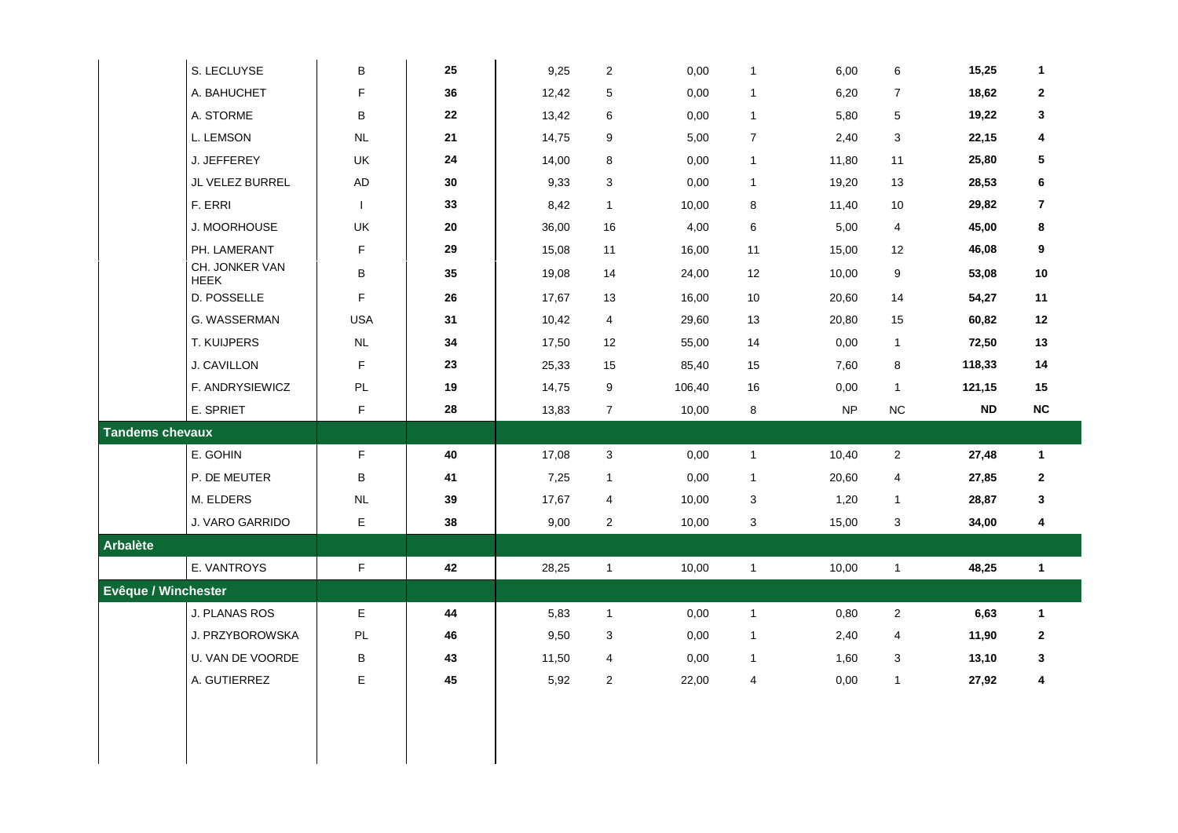|                                                                  | S. LECLUYSE                   | B            | 25 | 9,25  | $\overline{2}$ | 0,00   | $\mathbf{1}$   | 6,00      | 6              | 15,25     | $\mathbf{1}$ |
|------------------------------------------------------------------|-------------------------------|--------------|----|-------|----------------|--------|----------------|-----------|----------------|-----------|--------------|
|                                                                  | A. BAHUCHET                   | F            | 36 | 12,42 | 5              | 0,00   | $\mathbf{1}$   | 6,20      | $\overline{7}$ | 18,62     | $\mathbf{2}$ |
|                                                                  | A. STORME                     | В            | 22 | 13,42 | $\,6\,$        | 0,00   | $\mathbf{1}$   | 5,80      | $\sqrt{5}$     | 19,22     | $\mathbf{3}$ |
|                                                                  | L. LEMSON                     | <b>NL</b>    | 21 | 14,75 | 9              | 5,00   | $\overline{7}$ | 2,40      | 3              | 22,15     | 4            |
|                                                                  | J. JEFFEREY                   | UK           | 24 | 14,00 | 8              | 0,00   | $\mathbf{1}$   | 11,80     | 11             | 25,80     | 5            |
|                                                                  | JL VELEZ BURREL               | AD           | 30 | 9,33  | 3              | 0,00   | $\mathbf{1}$   | 19,20     | 13             | 28,53     | 6            |
|                                                                  | F. ERRI                       | $\mathbf{L}$ | 33 | 8,42  | $\mathbf{1}$   | 10,00  | 8              | 11,40     | 10             | 29,82     | $\bf 7$      |
|                                                                  | J. MOORHOUSE                  | UK           | 20 | 36,00 | 16             | 4,00   | 6              | 5,00      | 4              | 45,00     | 8            |
|                                                                  | PH. LAMERANT                  | F            | 29 | 15,08 | 11             | 16,00  | 11             | 15,00     | 12             | 46,08     | 9            |
|                                                                  | CH. JONKER VAN<br><b>HEEK</b> | В            | 35 | 19,08 | 14             | 24,00  | 12             | 10,00     | 9              | 53,08     | 10           |
|                                                                  | D. POSSELLE                   | $\mathsf F$  | 26 | 17,67 | 13             | 16,00  | 10             | 20,60     | 14             | 54,27     | 11           |
|                                                                  | G. WASSERMAN                  | <b>USA</b>   | 31 | 10,42 | $\overline{4}$ | 29,60  | 13             | 20,80     | 15             | 60,82     | 12           |
|                                                                  | T. KUIJPERS                   | <b>NL</b>    | 34 | 17,50 | 12             | 55,00  | 14             | 0,00      | $\mathbf{1}$   | 72,50     | 13           |
|                                                                  | J. CAVILLON                   | F            | 23 | 25,33 | 15             | 85,40  | 15             | 7,60      | 8              | 118,33    | 14           |
|                                                                  | F. ANDRYSIEWICZ               | PL           | 19 | 14,75 | 9              | 106,40 | 16             | 0,00      | $\mathbf{1}$   | 121,15    | 15           |
|                                                                  | E. SPRIET                     | $\mathsf F$  | 28 | 13,83 | $\overline{7}$ | 10,00  | 8              | <b>NP</b> | <b>NC</b>      | <b>ND</b> | $NC$         |
|                                                                  |                               |              |    |       |                |        |                |           |                |           |              |
|                                                                  |                               |              |    |       |                |        |                |           |                |           |              |
|                                                                  | E. GOHIN                      | F.           | 40 | 17,08 | 3              | 0,00   | $\mathbf{1}$   | 10,40     | $\overline{2}$ | 27,48     | $\mathbf{1}$ |
|                                                                  | P. DE MEUTER                  | B            | 41 | 7,25  | $\mathbf{1}$   | 0,00   | $\mathbf{1}$   | 20,60     | 4              | 27,85     | $\mathbf{2}$ |
|                                                                  | M. ELDERS                     | <b>NL</b>    | 39 | 17,67 | 4              | 10,00  | 3              | 1,20      | $\mathbf{1}$   | 28,87     | $\mathbf{3}$ |
|                                                                  | J. VARO GARRIDO               | E            | 38 | 9,00  | $\overline{2}$ | 10,00  | 3              | 15,00     | 3              | 34,00     | 4            |
|                                                                  |                               |              |    |       |                |        |                |           |                |           |              |
|                                                                  | E. VANTROYS                   | F.           | 42 | 28,25 | $\mathbf{1}$   | 10,00  | $\mathbf{1}$   | 10,00     | $\mathbf{1}$   | 48,25     | $\mathbf{1}$ |
|                                                                  |                               |              |    |       |                |        |                |           |                |           |              |
| <b>Tandems chevaux</b><br><b>Arbalète</b><br>Evêque / Winchester | J. PLANAS ROS                 | Е            | 44 | 5,83  | $\mathbf{1}$   | 0,00   | $\mathbf{1}$   | 0,80      | $\overline{c}$ | 6,63      | $\mathbf{1}$ |
|                                                                  | J. PRZYBOROWSKA               | PL           | 46 | 9,50  | 3              | 0,00   | $\mathbf{1}$   | 2,40      | 4              | 11,90     | $\mathbf{2}$ |
|                                                                  | U. VAN DE VOORDE              | B            | 43 | 11,50 | 4              | 0,00   | $\mathbf{1}$   | 1,60      | 3              | 13,10     | $\mathbf{3}$ |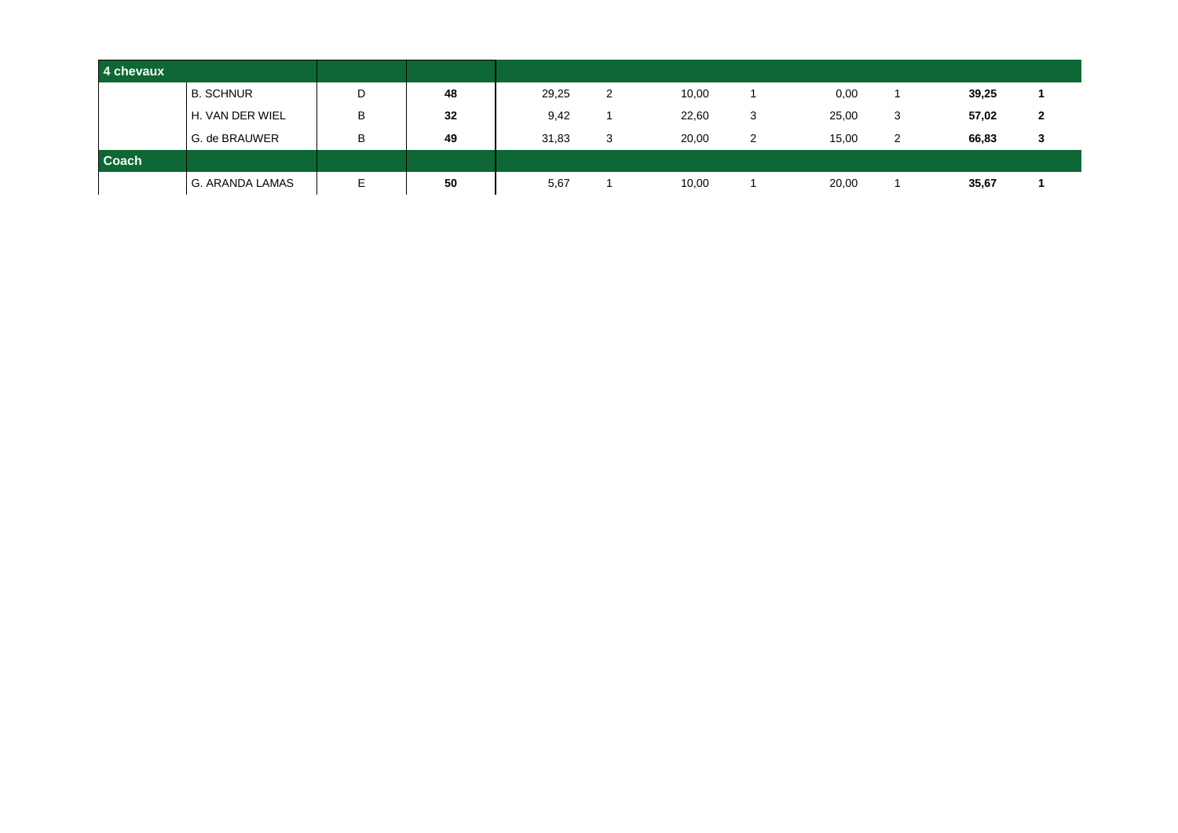| 4 chevaux    |                   |                                           |    |       |   |       |   |       |   |       |   |
|--------------|-------------------|-------------------------------------------|----|-------|---|-------|---|-------|---|-------|---|
|              | <b>B. SCHNUR</b>  | D                                         | 48 | 29,25 | 2 | 10,00 |   | 0,00  |   | 39,25 |   |
|              | l H. VAN DER WIEL | B                                         | 32 | 9,42  |   | 22,60 | 3 | 25,00 | 3 | 57,02 | 2 |
|              | G. de BRAUWER     | B                                         | 49 | 31,83 | 3 | 20,00 | 2 | 15,00 | 2 | 66,83 | 3 |
| <b>Coach</b> |                   |                                           |    |       |   |       |   |       |   |       |   |
|              | G. ARANDA LAMAS   | $\overline{\phantom{0}}$<br><b>-</b><br>– | 50 | 5,67  |   | 10,00 |   | 20,00 |   | 35,67 |   |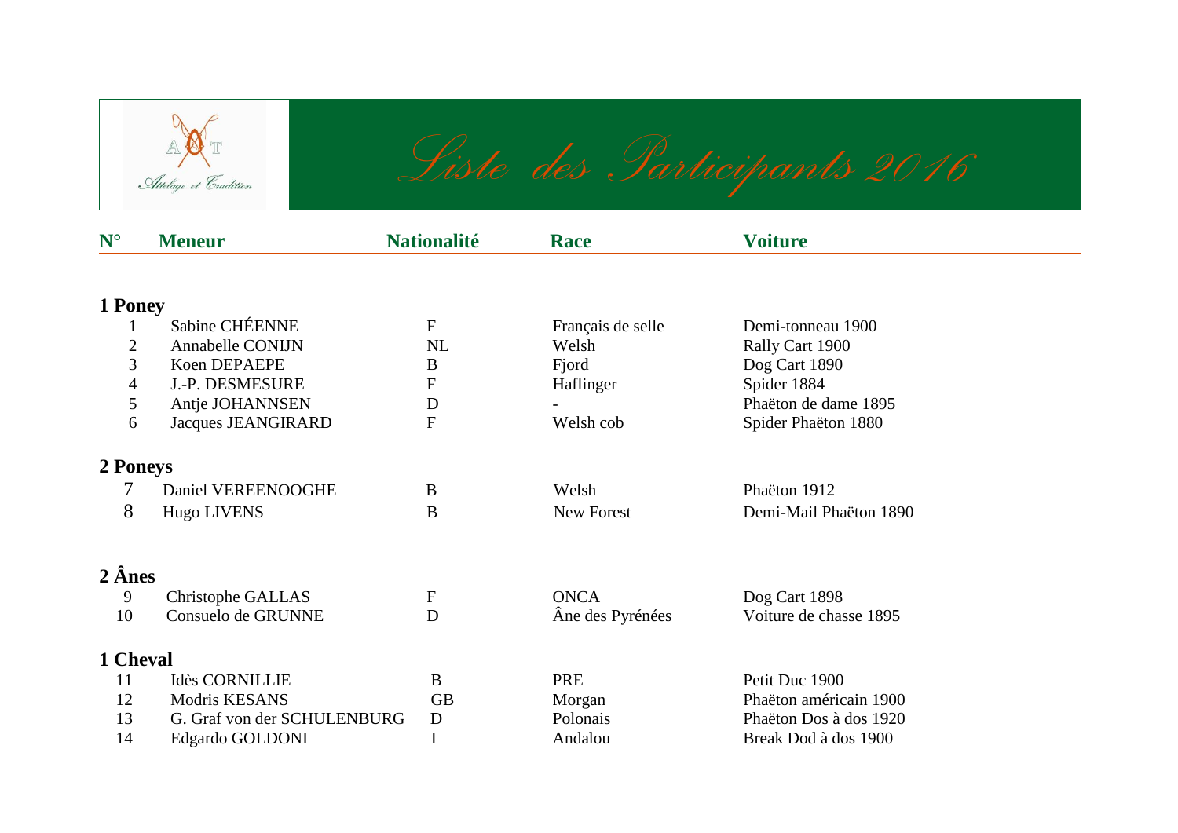

| $N^{\circ}$       | <b>Meneur</b>               | <b>Nationalité</b>        | <b>Race</b>       | <b>Voiture</b>         |  |
|-------------------|-----------------------------|---------------------------|-------------------|------------------------|--|
|                   |                             |                           |                   |                        |  |
| 1 Poney           |                             |                           |                   |                        |  |
|                   | Sabine CHÉENNE              | $\boldsymbol{\mathrm{F}}$ | Français de selle | Demi-tonneau 1900      |  |
| 2                 | Annabelle CONIJN            | NL                        | Welsh             | Rally Cart 1900        |  |
| 3                 | Koen DEPAEPE                | $\boldsymbol{B}$          | Fjord             | Dog Cart 1890          |  |
| 4                 | J.-P. DESMESURE             | $\mathbf F$               | Haflinger         | Spider 1884            |  |
| 5                 | Antje JOHANNSEN             | D                         |                   | Phaëton de dame 1895   |  |
| 6                 | Jacques JEANGIRARD          | ${\bf F}$                 | Welsh cob         | Spider Phaëton 1880    |  |
| 2 Poneys          |                             |                           |                   |                        |  |
| 7                 | Daniel VEREENOOGHE          | B                         | Welsh             | Phaëton 1912           |  |
| 8                 | <b>Hugo LIVENS</b>          | B                         | <b>New Forest</b> | Demi-Mail Phaëton 1890 |  |
| $2$ $\hat{A}$ nes |                             |                           |                   |                        |  |
| 9                 | Christophe GALLAS           | ${\bf F}$                 | <b>ONCA</b>       | Dog Cart 1898          |  |
| 10                | Consuelo de GRUNNE          | D                         | Âne des Pyrénées  | Voiture de chasse 1895 |  |
| 1 Cheval          |                             |                           |                   |                        |  |
| 11                | Idès CORNILLIE              | B                         | PRE               | Petit Duc 1900         |  |
| 12                | Modris KESANS               | <b>GB</b>                 | Morgan            | Phaëton américain 1900 |  |
| 13                | G. Graf von der SCHULENBURG | D                         | Polonais          | Phaëton Dos à dos 1920 |  |
| 14                | Edgardo GOLDONI             |                           | Andalou           | Break Dod à dos 1900   |  |
|                   |                             |                           |                   |                        |  |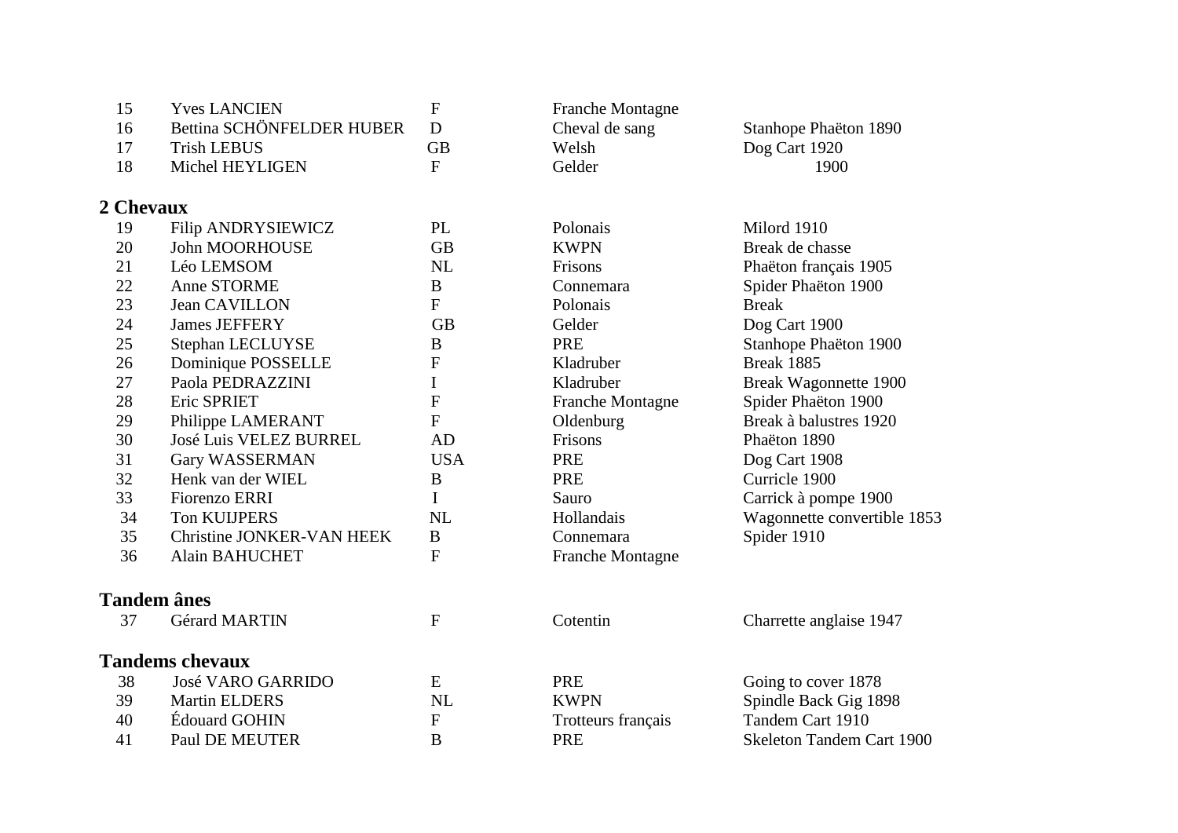| 15        | <b>Yves LANCIEN</b>       | F                         | <b>Franche Montagne</b> |                                  |
|-----------|---------------------------|---------------------------|-------------------------|----------------------------------|
| 16        | Bettina SCHÖNFELDER HUBER | D                         | Cheval de sang          | Stanhope Phaëton 1890            |
| 17        | <b>Trish LEBUS</b>        | <b>GB</b>                 | Welsh                   | Dog Cart 1920                    |
| 18        | Michel HEYLIGEN           | $\mathbf{F}$              | Gelder                  | 1900                             |
| 2 Chevaux |                           |                           |                         |                                  |
| 19        | <b>Filip ANDRYSIEWICZ</b> | <b>PL</b>                 | Polonais                | Milord 1910                      |
| 20        | <b>John MOORHOUSE</b>     | <b>GB</b>                 | <b>KWPN</b>             | Break de chasse                  |
| 21        | Léo LEMSOM                | NL                        | Frisons                 | Phaëton français 1905            |
| 22        | Anne STORME               | $\boldsymbol{B}$          | Connemara               | Spider Phaëton 1900              |
| 23        | Jean CAVILLON             | ${\bf F}$                 | Polonais                | <b>Break</b>                     |
| 24        | <b>James JEFFERY</b>      | <b>GB</b>                 | Gelder                  | Dog Cart 1900                    |
| 25        | Stephan LECLUYSE          | B                         | <b>PRE</b>              | Stanhope Phaëton 1900            |
| 26        | Dominique POSSELLE        | F                         | Kladruber               | Break 1885                       |
| 27        | Paola PEDRAZZINI          | I                         | Kladruber               | Break Wagonnette 1900            |
| 28        | Eric SPRIET               | F                         | <b>Franche Montagne</b> | Spider Phaëton 1900              |
| 29        | Philippe LAMERANT         | F                         | Oldenburg               | Break à balustres 1920           |
| 30        | José Luis VELEZ BURREL    | AD                        | Frisons                 | Phaëton 1890                     |
| 31        | Gary WASSERMAN            | <b>USA</b>                | <b>PRE</b>              | Dog Cart 1908                    |
| 32        | Henk van der WIEL         | $\bf{B}$                  | <b>PRE</b>              | Curricle 1900                    |
| 33        | Fiorenzo ERRI             | $\mathbf I$               | Sauro                   | Carrick à pompe 1900             |
| 34        | <b>Ton KUIJPERS</b>       | NL                        | Hollandais              | Wagonnette convertible 1853      |
| 35        | Christine JONKER-VAN HEEK | $\bf{B}$                  | Connemara               | Spider 1910                      |
| 36        | Alain BAHUCHET            | F                         | Franche Montagne        |                                  |
|           | <b>Tandem</b> ânes        |                           |                         |                                  |
| 37        | Gérard MARTIN             | $\boldsymbol{\mathrm{F}}$ | Cotentin                | Charrette anglaise 1947          |
|           | <b>Tandems chevaux</b>    |                           |                         |                                  |
| 38        | <b>José VARO GARRIDO</b>  | E                         | <b>PRE</b>              | Going to cover 1878              |
| 39        | <b>Martin ELDERS</b>      | NL                        | <b>KWPN</b>             | Spindle Back Gig 1898            |
| 40        | <b>Édouard GOHIN</b>      | $\boldsymbol{F}$          | Trotteurs français      | Tandem Cart 1910                 |
| 41        | <b>Paul DE MEUTER</b>     | $\bf{B}$                  | <b>PRE</b>              | <b>Skeleton Tandem Cart 1900</b> |